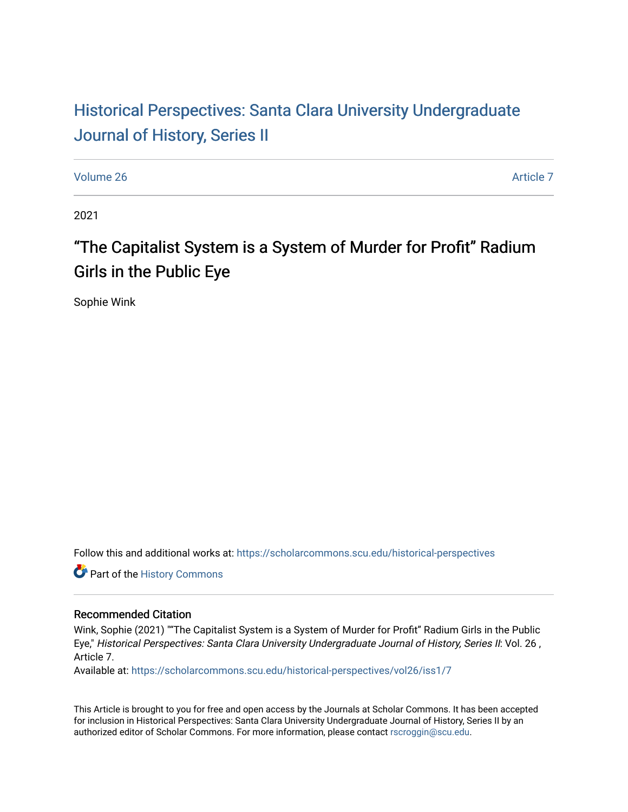# Historical Perspectiv[es: Santa Clara University Under](https://scholarcommons.scu.edu/historical-perspectives)graduate [Journal of History, Series II](https://scholarcommons.scu.edu/historical-perspectives)

[Volume 26](https://scholarcommons.scu.edu/historical-perspectives/vol26) Article 7

2021

# "The Capitalist System is a System of Murder for Profit" Radium Girls in the Public Eye

Sophie Wink

Follow this and additional works at: [https://scholarcommons.scu.edu/historical-perspectives](https://scholarcommons.scu.edu/historical-perspectives?utm_source=scholarcommons.scu.edu%2Fhistorical-perspectives%2Fvol26%2Fiss1%2F7&utm_medium=PDF&utm_campaign=PDFCoverPages) 

Part of the [History Commons](http://network.bepress.com/hgg/discipline/489?utm_source=scholarcommons.scu.edu%2Fhistorical-perspectives%2Fvol26%2Fiss1%2F7&utm_medium=PDF&utm_campaign=PDFCoverPages) 

#### Recommended Citation

Wink, Sophie (2021) ""The Capitalist System is a System of Murder for Profit" Radium Girls in the Public Eye," Historical Perspectives: Santa Clara University Undergraduate Journal of History, Series II: Vol. 26 , Article 7.

Available at: [https://scholarcommons.scu.edu/historical-perspectives/vol26/iss1/7](https://scholarcommons.scu.edu/historical-perspectives/vol26/iss1/7?utm_source=scholarcommons.scu.edu%2Fhistorical-perspectives%2Fvol26%2Fiss1%2F7&utm_medium=PDF&utm_campaign=PDFCoverPages) 

This Article is brought to you for free and open access by the Journals at Scholar Commons. It has been accepted for inclusion in Historical Perspectives: Santa Clara University Undergraduate Journal of History, Series II by an authorized editor of Scholar Commons. For more information, please contact [rscroggin@scu.edu](mailto:rscroggin@scu.edu).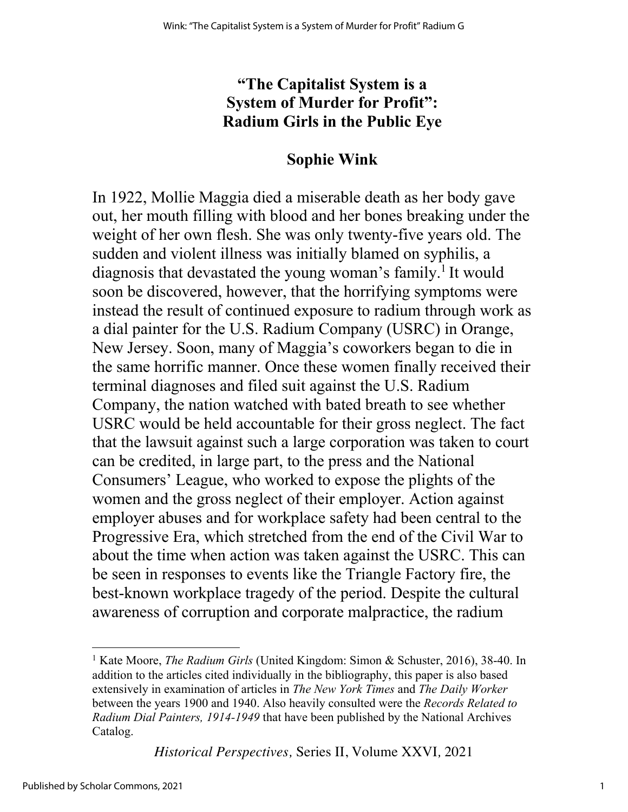#### **"The Capitalist System is a System of Murder for Profit": Radium Girls in the Public Eye**

#### **Sophie Wink**

In 1922, Mollie Maggia died a miserable death as her body gave out, her mouth filling with blood and her bones breaking under the weight of her own flesh. She was only twenty-five years old. The sudden and violent illness was initially blamed on syphilis, a diagnosis that devastated the young woman's family.<sup>1</sup> It would soon be discovered, however, that the horrifying symptoms were instead the result of continued exposure to radium through work as a dial painter for the U.S. Radium Company (USRC) in Orange, New Jersey. Soon, many of Maggia's coworkers began to die in the same horrific manner. Once these women finally received their terminal diagnoses and filed suit against the U.S. Radium Company, the nation watched with bated breath to see whether USRC would be held accountable for their gross neglect. The fact that the lawsuit against such a large corporation was taken to court can be credited, in large part, to the press and the National Consumers' League, who worked to expose the plights of the women and the gross neglect of their employer. Action against employer abuses and for workplace safety had been central to the Progressive Era, which stretched from the end of the Civil War to about the time when action was taken against the USRC. This can be seen in responses to events like the Triangle Factory fire, the best-known workplace tragedy of the period. Despite the cultural awareness of corruption and corporate malpractice, the radium

*Historical Perspectives,* Series II, Volume XXVI*,* 2021

<sup>&</sup>lt;sup>1</sup> Kate Moore, *The Radium Girls* (United Kingdom: Simon & Schuster, 2016), 38-40. In addition to the articles cited individually in the bibliography, this paper is also based extensively in examination of articles in *The New York Times* and *The Daily Worker*  between the years 1900 and 1940. Also heavily consulted were the *Records Related to Radium Dial Painters, 1914-1949* that have been published by the National Archives Catalog.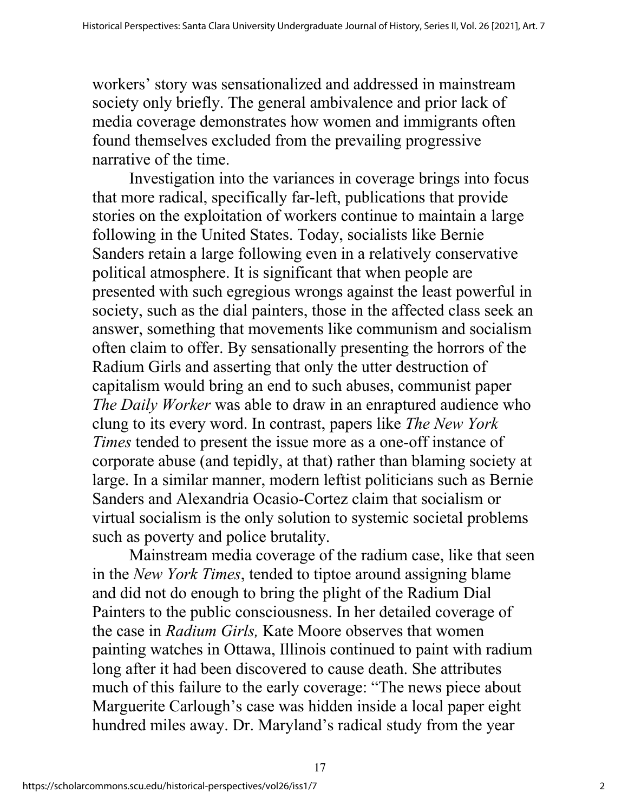workers' story was sensationalized and addressed in mainstream society only briefly. The general ambivalence and prior lack of media coverage demonstrates how women and immigrants often found themselves excluded from the prevailing progressive narrative of the time.

Investigation into the variances in coverage brings into focus that more radical, specifically far-left, publications that provide stories on the exploitation of workers continue to maintain a large following in the United States. Today, socialists like Bernie Sanders retain a large following even in a relatively conservative political atmosphere. It is significant that when people are presented with such egregious wrongs against the least powerful in society, such as the dial painters, those in the affected class seek an answer, something that movements like communism and socialism often claim to offer. By sensationally presenting the horrors of the Radium Girls and asserting that only the utter destruction of capitalism would bring an end to such abuses, communist paper *The Daily Worker* was able to draw in an enraptured audience who clung to its every word. In contrast, papers like *The New York Times* tended to present the issue more as a one-off instance of corporate abuse (and tepidly, at that) rather than blaming society at large. In a similar manner, modern leftist politicians such as Bernie Sanders and Alexandria Ocasio-Cortez claim that socialism or virtual socialism is the only solution to systemic societal problems such as poverty and police brutality.

Mainstream media coverage of the radium case, like that seen in the *New York Times*, tended to tiptoe around assigning blame and did not do enough to bring the plight of the Radium Dial Painters to the public consciousness. In her detailed coverage of the case in *Radium Girls,* Kate Moore observes that women painting watches in Ottawa, Illinois continued to paint with radium long after it had been discovered to cause death. She attributes much of this failure to the early coverage: "The news piece about Marguerite Carlough's case was hidden inside a local paper eight hundred miles away. Dr. Maryland's radical study from the year

17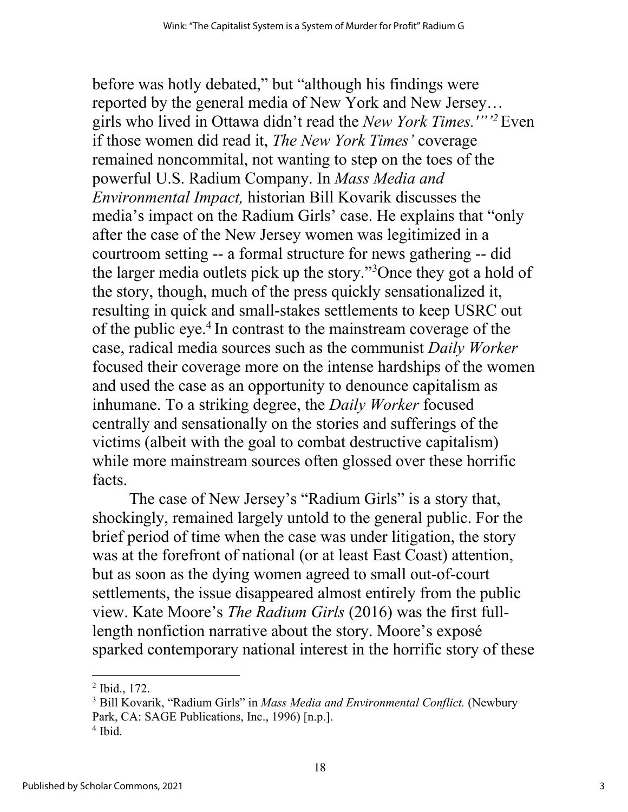before was hotly debated," but "although his findings were reported by the general media of New York and New Jersey… girls who lived in Ottawa didn't read the *New York Times.'"'2* Even if those women did read it, *The New York Times'* coverage remained noncommital, not wanting to step on the toes of the powerful U.S. Radium Company. In *Mass Media and Environmental Impact,* historian Bill Kovarik discusses the media's impact on the Radium Girls' case. He explains that "only after the case of the New Jersey women was legitimized in a courtroom setting -- a formal structure for news gathering -- did the larger media outlets pick up the story."3 Once they got a hold of the story, though, much of the press quickly sensationalized it, resulting in quick and small-stakes settlements to keep USRC out of the public eye.4 In contrast to the mainstream coverage of the case, radical media sources such as the communist *Daily Worker*  focused their coverage more on the intense hardships of the women and used the case as an opportunity to denounce capitalism as inhumane. To a striking degree, the *Daily Worker* focused centrally and sensationally on the stories and sufferings of the victims (albeit with the goal to combat destructive capitalism) while more mainstream sources often glossed over these horrific facts.

The case of New Jersey's "Radium Girls" is a story that, shockingly, remained largely untold to the general public. For the brief period of time when the case was under litigation, the story was at the forefront of national (or at least East Coast) attention, but as soon as the dying women agreed to small out-of-court settlements, the issue disappeared almost entirely from the public view. Kate Moore's *The Radium Girls* (2016) was the first fulllength nonfiction narrative about the story. Moore's exposé sparked contemporary national interest in the horrific story of these

<sup>2</sup> Ibid., 172.

<sup>3</sup> Bill Kovarik, "Radium Girls" in *Mass Media and Environmental Conflict.* (Newbury Park, CA: SAGE Publications, Inc., 1996) [n.p.].

 $4$  Ibid.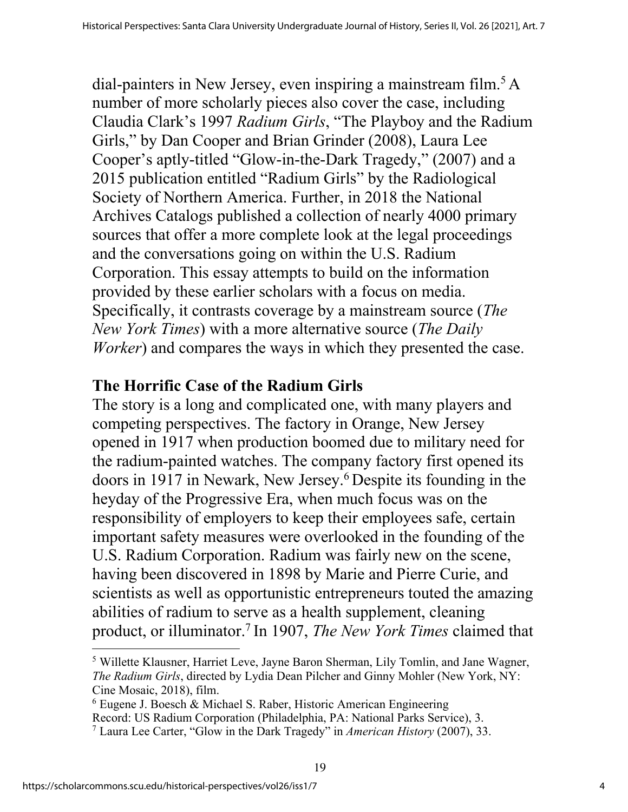dial-painters in New Jersey, even inspiring a mainstream film.<sup>5</sup> A number of more scholarly pieces also cover the case, including Claudia Clark's 1997 *Radium Girls*, "The Playboy and the Radium Girls," by Dan Cooper and Brian Grinder (2008), Laura Lee Cooper's aptly-titled "Glow-in-the-Dark Tragedy," (2007) and a 2015 publication entitled "Radium Girls" by the Radiological Society of Northern America. Further, in 2018 the National Archives Catalogs published a collection of nearly 4000 primary sources that offer a more complete look at the legal proceedings and the conversations going on within the U.S. Radium Corporation. This essay attempts to build on the information provided by these earlier scholars with a focus on media. Specifically, it contrasts coverage by a mainstream source (*The New York Times*) with a more alternative source (*The Daily Worker*) and compares the ways in which they presented the case.

## **The Horrific Case of the Radium Girls**

The story is a long and complicated one, with many players and competing perspectives. The factory in Orange, New Jersey opened in 1917 when production boomed due to military need for the radium-painted watches. The company factory first opened its doors in 1917 in Newark, New Jersey.6 Despite its founding in the heyday of the Progressive Era, when much focus was on the responsibility of employers to keep their employees safe, certain important safety measures were overlooked in the founding of the U.S. Radium Corporation. Radium was fairly new on the scene, having been discovered in 1898 by Marie and Pierre Curie, and scientists as well as opportunistic entrepreneurs touted the amazing abilities of radium to serve as a health supplement, cleaning product, or illuminator.7 In 1907, *The New York Times* claimed that

<sup>5</sup> Willette Klausner, Harriet Leve, Jayne Baron Sherman, Lily Tomlin, and Jane Wagner, *The Radium Girls*, directed by Lydia Dean Pilcher and Ginny Mohler (New York, NY: Cine Mosaic, 2018), film.

 $6$  Eugene J. Boesch & Michael S. Raber, Historic American Engineering Record: US Radium Corporation (Philadelphia, PA: National Parks Service), 3. <sup>7</sup> Laura Lee Carter, "Glow in the Dark Tragedy" in *American History* (2007), 33.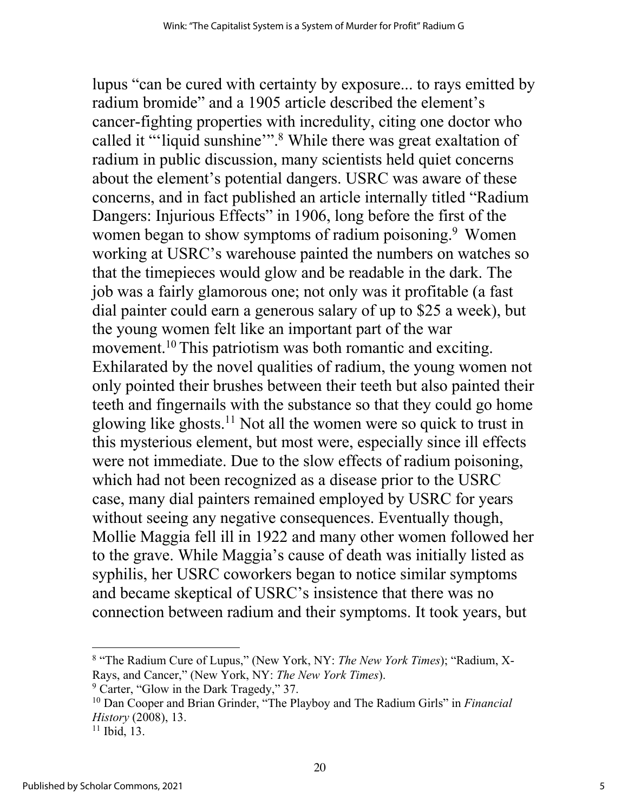lupus "can be cured with certainty by exposure... to rays emitted by radium bromide" and a 1905 article described the element's cancer-fighting properties with incredulity, citing one doctor who called it "'liquid sunshine'".<sup>8</sup> While there was great exaltation of radium in public discussion, many scientists held quiet concerns about the element's potential dangers. USRC was aware of these concerns, and in fact published an article internally titled "Radium Dangers: Injurious Effects" in 1906, long before the first of the women began to show symptoms of radium poisoning.<sup>9</sup> Women working at USRC's warehouse painted the numbers on watches so that the timepieces would glow and be readable in the dark. The job was a fairly glamorous one; not only was it profitable (a fast dial painter could earn a generous salary of up to \$25 a week), but the young women felt like an important part of the war movement.<sup>10</sup> This patriotism was both romantic and exciting. Exhilarated by the novel qualities of radium, the young women not only pointed their brushes between their teeth but also painted their teeth and fingernails with the substance so that they could go home glowing like ghosts.11 Not all the women were so quick to trust in this mysterious element, but most were, especially since ill effects were not immediate. Due to the slow effects of radium poisoning, which had not been recognized as a disease prior to the USRC case, many dial painters remained employed by USRC for years without seeing any negative consequences. Eventually though, Mollie Maggia fell ill in 1922 and many other women followed her to the grave. While Maggia's cause of death was initially listed as syphilis, her USRC coworkers began to notice similar symptoms and became skeptical of USRC's insistence that there was no connection between radium and their symptoms. It took years, but

 $9$  Carter, "Glow in the Dark Tragedy," 37.

<sup>8</sup> "The Radium Cure of Lupus," (New York, NY: *The New York Times*); "Radium, X-Rays, and Cancer," (New York, NY: *The New York Times*).

<sup>10</sup> Dan Cooper and Brian Grinder, "The Playboy and The Radium Girls" in *Financial History* (2008), 13.

 $11$  Ibid, 13.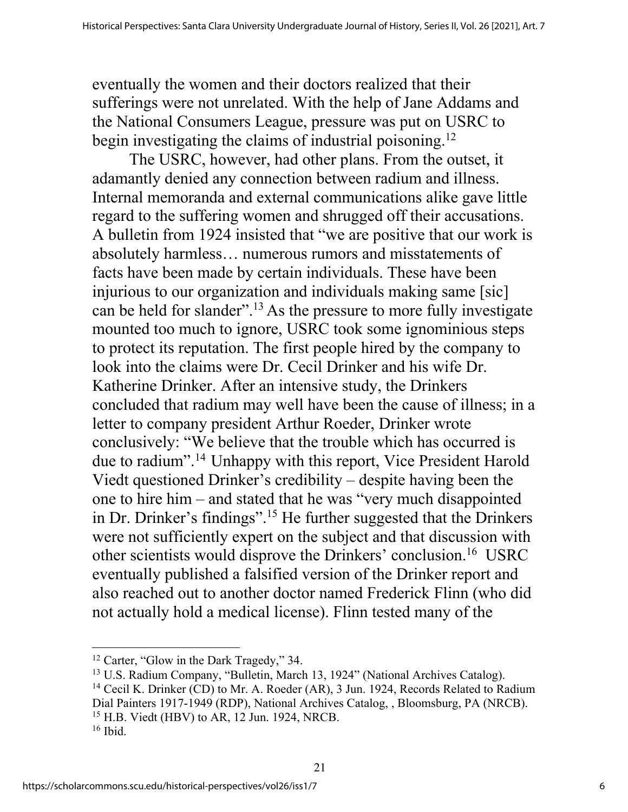eventually the women and their doctors realized that their sufferings were not unrelated. With the help of Jane Addams and the National Consumers League, pressure was put on USRC to begin investigating the claims of industrial poisoning.<sup>12</sup>

The USRC, however, had other plans. From the outset, it adamantly denied any connection between radium and illness. Internal memoranda and external communications alike gave little regard to the suffering women and shrugged off their accusations. A bulletin from 1924 insisted that "we are positive that our work is absolutely harmless… numerous rumors and misstatements of facts have been made by certain individuals. These have been injurious to our organization and individuals making same [sic] can be held for slander".13 As the pressure to more fully investigate mounted too much to ignore, USRC took some ignominious steps to protect its reputation. The first people hired by the company to look into the claims were Dr. Cecil Drinker and his wife Dr. Katherine Drinker. After an intensive study, the Drinkers concluded that radium may well have been the cause of illness; in a letter to company president Arthur Roeder, Drinker wrote conclusively: "We believe that the trouble which has occurred is due to radium".14 Unhappy with this report, Vice President Harold Viedt questioned Drinker's credibility – despite having been the one to hire him – and stated that he was "very much disappointed in Dr. Drinker's findings".15 He further suggested that the Drinkers were not sufficiently expert on the subject and that discussion with other scientists would disprove the Drinkers' conclusion.16 USRC eventually published a falsified version of the Drinker report and also reached out to another doctor named Frederick Flinn (who did not actually hold a medical license). Flinn tested many of the

<sup>&</sup>lt;sup>12</sup> Carter, "Glow in the Dark Tragedy," 34.

<sup>13</sup> U.S. Radium Company, "Bulletin, March 13, 1924" (National Archives Catalog). <sup>14</sup> Cecil K. Drinker (CD) to Mr. A. Roeder (AR), 3 Jun. 1924, Records Related to Radium Dial Painters 1917-1949 (RDP), National Archives Catalog, , Bloomsburg, PA (NRCB). <sup>15</sup> H.B. Viedt (HBV) to AR, 12 Jun. 1924, NRCB.  $16$  Ibid.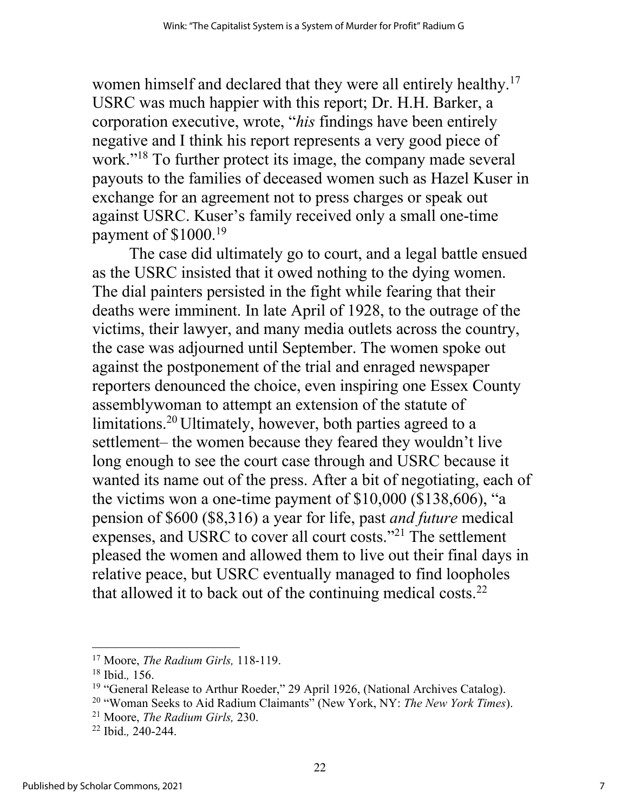women himself and declared that they were all entirely healthy.<sup>17</sup> USRC was much happier with this report; Dr. H.H. Barker, a corporation executive, wrote, "*his* findings have been entirely negative and I think his report represents a very good piece of work."18 To further protect its image, the company made several payouts to the families of deceased women such as Hazel Kuser in exchange for an agreement not to press charges or speak out against USRC. Kuser's family received only a small one-time payment of \$1000.19

The case did ultimately go to court, and a legal battle ensued as the USRC insisted that it owed nothing to the dying women. The dial painters persisted in the fight while fearing that their deaths were imminent. In late April of 1928, to the outrage of the victims, their lawyer, and many media outlets across the country, the case was adjourned until September. The women spoke out against the postponement of the trial and enraged newspaper reporters denounced the choice, even inspiring one Essex County assemblywoman to attempt an extension of the statute of limitations.20 Ultimately, however, both parties agreed to a settlement– the women because they feared they wouldn't live long enough to see the court case through and USRC because it wanted its name out of the press. After a bit of negotiating, each of the victims won a one-time payment of \$10,000 (\$138,606), "a pension of \$600 (\$8,316) a year for life, past *and future* medical expenses, and USRC to cover all court costs."21 The settlement pleased the women and allowed them to live out their final days in relative peace, but USRC eventually managed to find loopholes that allowed it to back out of the continuing medical costs. $^{22}$ 

<sup>17</sup> Moore, *The Radium Girls,* 118-119.

<sup>18</sup> Ibid.*,* 156.

<sup>&</sup>lt;sup>19</sup> "General Release to Arthur Roeder," 29 April 1926, (National Archives Catalog).

<sup>20</sup> "Woman Seeks to Aid Radium Claimants" (New York, NY: *The New York Times*).

<sup>21</sup> Moore, *The Radium Girls,* 230.

<sup>22</sup> Ibid.*,* 240-244.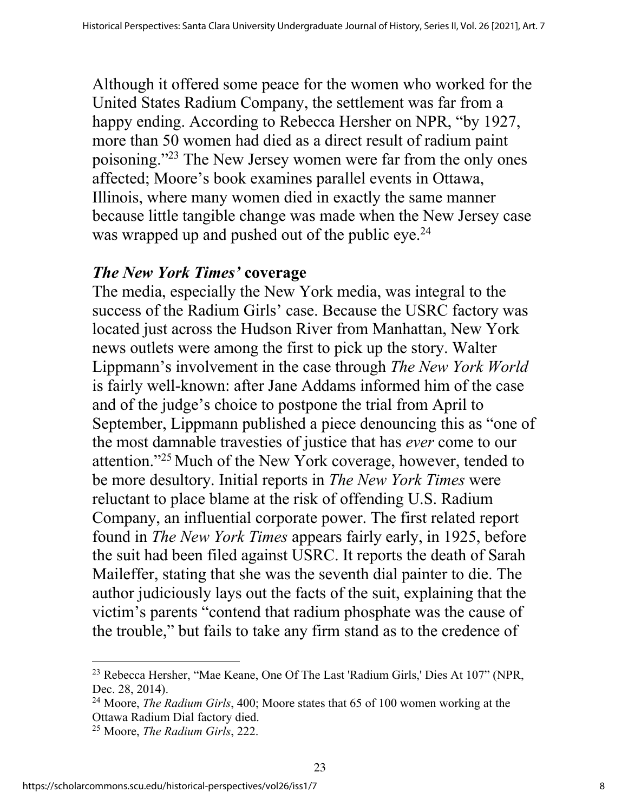Although it offered some peace for the women who worked for the United States Radium Company, the settlement was far from a happy ending. According to Rebecca Hersher on NPR, "by 1927, more than 50 women had died as a direct result of radium paint poisoning."23 The New Jersey women were far from the only ones affected; Moore's book examines parallel events in Ottawa, Illinois, where many women died in exactly the same manner because little tangible change was made when the New Jersey case was wrapped up and pushed out of the public  $e^{-24}$ 

#### *The New York Times'* **coverage**

The media, especially the New York media, was integral to the success of the Radium Girls' case. Because the USRC factory was located just across the Hudson River from Manhattan, New York news outlets were among the first to pick up the story. Walter Lippmann's involvement in the case through *The New York World*  is fairly well-known: after Jane Addams informed him of the case and of the judge's choice to postpone the trial from April to September, Lippmann published a piece denouncing this as "one of the most damnable travesties of justice that has *ever* come to our attention."25 Much of the New York coverage, however, tended to be more desultory. Initial reports in *The New York Times* were reluctant to place blame at the risk of offending U.S. Radium Company, an influential corporate power. The first related report found in *The New York Times* appears fairly early, in 1925, before the suit had been filed against USRC. It reports the death of Sarah Maileffer, stating that she was the seventh dial painter to die. The author judiciously lays out the facts of the suit, explaining that the victim's parents "contend that radium phosphate was the cause of the trouble," but fails to take any firm stand as to the credence of

<sup>23</sup> Rebecca Hersher, "Mae Keane, One Of The Last 'Radium Girls,' Dies At 107" (NPR, Dec. 28, 2014).

<sup>24</sup> Moore, *The Radium Girls*, 400; Moore states that 65 of 100 women working at the Ottawa Radium Dial factory died.

<sup>25</sup> Moore, *The Radium Girls*, 222.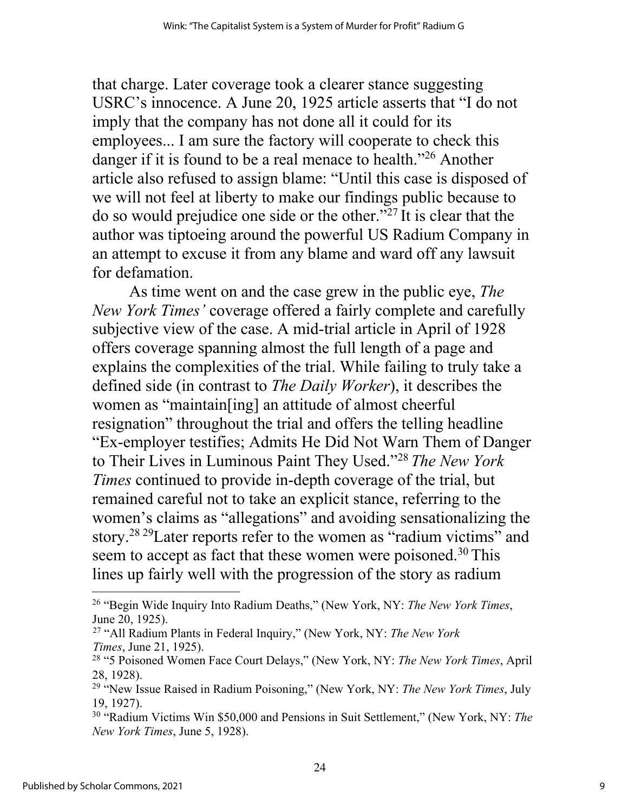that charge. Later coverage took a clearer stance suggesting USRC's innocence. A June 20, 1925 article asserts that "I do not imply that the company has not done all it could for its employees... I am sure the factory will cooperate to check this danger if it is found to be a real menace to health."<sup>26</sup> Another article also refused to assign blame: "Until this case is disposed of we will not feel at liberty to make our findings public because to do so would prejudice one side or the other."27 It is clear that the author was tiptoeing around the powerful US Radium Company in an attempt to excuse it from any blame and ward off any lawsuit for defamation.

As time went on and the case grew in the public eye, *The New York Times'* coverage offered a fairly complete and carefully subjective view of the case. A mid-trial article in April of 1928 offers coverage spanning almost the full length of a page and explains the complexities of the trial. While failing to truly take a defined side (in contrast to *The Daily Worker*), it describes the women as "maintain[ing] an attitude of almost cheerful resignation" throughout the trial and offers the telling headline "Ex-employer testifies; Admits He Did Not Warn Them of Danger to Their Lives in Luminous Paint They Used."28 *The New York Times* continued to provide in-depth coverage of the trial, but remained careful not to take an explicit stance, referring to the women's claims as "allegations" and avoiding sensationalizing the story.<sup>28 29</sup> Later reports refer to the women as "radium victims" and seem to accept as fact that these women were poisoned.<sup>30</sup> This lines up fairly well with the progression of the story as radium

<sup>26</sup> "Begin Wide Inquiry Into Radium Deaths," (New York, NY: *The New York Times*, June 20, 1925).

<sup>27</sup> "All Radium Plants in Federal Inquiry," (New York, NY: *The New York Times*, June 21, 1925).

<sup>28</sup> "5 Poisoned Women Face Court Delays," (New York, NY: *The New York Times*, April 28, 1928).

<sup>29</sup> "New Issue Raised in Radium Poisoning," (New York, NY: *The New York Times*, July 19, 1927).

<sup>30</sup> "Radium Victims Win \$50,000 and Pensions in Suit Settlement," (New York, NY: *The New York Times*, June 5, 1928).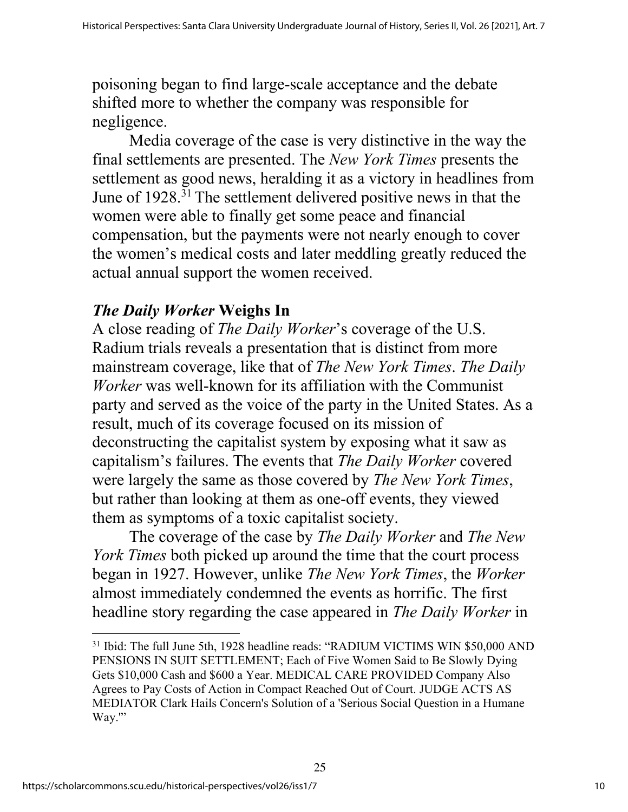poisoning began to find large-scale acceptance and the debate shifted more to whether the company was responsible for negligence.

Media coverage of the case is very distinctive in the way the final settlements are presented. The *New York Times* presents the settlement as good news, heralding it as a victory in headlines from June of 1928.31 The settlement delivered positive news in that the women were able to finally get some peace and financial compensation, but the payments were not nearly enough to cover the women's medical costs and later meddling greatly reduced the actual annual support the women received.

# *The Daily Worker* **Weighs In**

A close reading of *The Daily Worker*'s coverage of the U.S. Radium trials reveals a presentation that is distinct from more mainstream coverage, like that of *The New York Times*. *The Daily Worker* was well-known for its affiliation with the Communist party and served as the voice of the party in the United States. As a result, much of its coverage focused on its mission of deconstructing the capitalist system by exposing what it saw as capitalism's failures. The events that *The Daily Worker* covered were largely the same as those covered by *The New York Times*, but rather than looking at them as one-off events, they viewed them as symptoms of a toxic capitalist society.

The coverage of the case by *The Daily Worker* and *The New York Times* both picked up around the time that the court process began in 1927. However, unlike *The New York Times*, the *Worker*  almost immediately condemned the events as horrific. The first headline story regarding the case appeared in *The Daily Worker* in

25

<sup>31</sup> Ibid: The full June 5th, 1928 headline reads: "RADIUM VICTIMS WIN \$50,000 AND PENSIONS IN SUIT SETTLEMENT; Each of Five Women Said to Be Slowly Dying Gets \$10,000 Cash and \$600 a Year. MEDICAL CARE PROVIDED Company Also Agrees to Pay Costs of Action in Compact Reached Out of Court. JUDGE ACTS AS MEDIATOR Clark Hails Concern's Solution of a 'Serious Social Question in a Humane Way."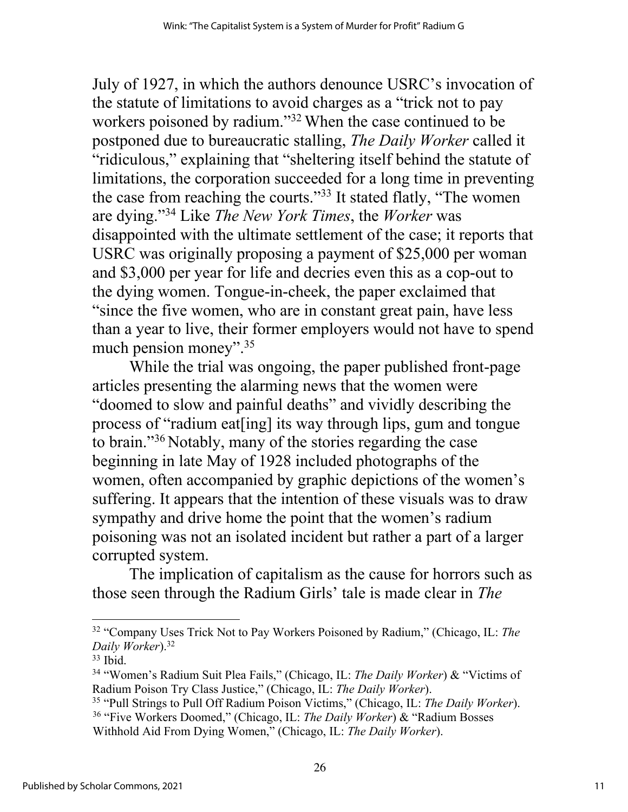July of 1927, in which the authors denounce USRC's invocation of the statute of limitations to avoid charges as a "trick not to pay workers poisoned by radium."32 When the case continued to be postponed due to bureaucratic stalling, *The Daily Worker* called it "ridiculous," explaining that "sheltering itself behind the statute of limitations, the corporation succeeded for a long time in preventing the case from reaching the courts."33 It stated flatly, "The women are dying."34 Like *The New York Times*, the *Worker* was disappointed with the ultimate settlement of the case; it reports that USRC was originally proposing a payment of \$25,000 per woman and \$3,000 per year for life and decries even this as a cop-out to the dying women. Tongue-in-cheek, the paper exclaimed that "since the five women, who are in constant great pain, have less than a year to live, their former employers would not have to spend much pension money".<sup>35</sup>

While the trial was ongoing, the paper published front-page articles presenting the alarming news that the women were "doomed to slow and painful deaths" and vividly describing the process of "radium eat[ing] its way through lips, gum and tongue to brain."36 Notably, many of the stories regarding the case beginning in late May of 1928 included photographs of the women, often accompanied by graphic depictions of the women's suffering. It appears that the intention of these visuals was to draw sympathy and drive home the point that the women's radium poisoning was not an isolated incident but rather a part of a larger corrupted system.

The implication of capitalism as the cause for horrors such as those seen through the Radium Girls' tale is made clear in *The* 

<sup>32</sup> "Company Uses Trick Not to Pay Workers Poisoned by Radium," (Chicago, IL: *The Daily Worker*).32

 $33$  Ibid.

<sup>34</sup> "Women's Radium Suit Plea Fails," (Chicago, IL: *The Daily Worker*) & "Victims of Radium Poison Try Class Justice," (Chicago, IL: *The Daily Worker*).

<sup>35</sup> "Pull Strings to Pull Off Radium Poison Victims," (Chicago, IL: *The Daily Worker*). <sup>36</sup> "Five Workers Doomed," (Chicago, IL: *The Daily Worker*) & "Radium Bosses Withhold Aid From Dying Women," (Chicago, IL: *The Daily Worker*).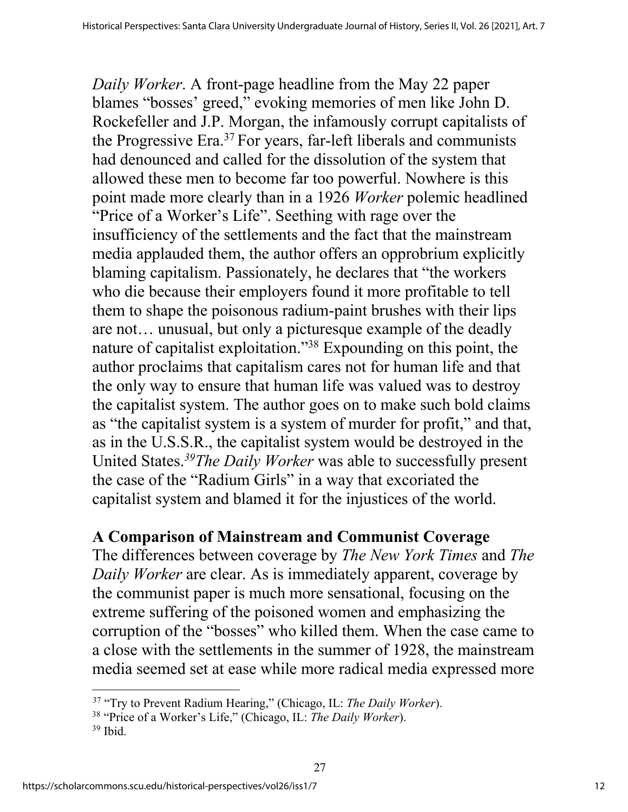*Daily Worker*. A front-page headline from the May 22 paper blames "bosses' greed," evoking memories of men like John D. Rockefeller and J.P. Morgan, the infamously corrupt capitalists of the Progressive Era.37 For years, far-left liberals and communists had denounced and called for the dissolution of the system that allowed these men to become far too powerful. Nowhere is this point made more clearly than in a 1926 *Worker* polemic headlined "Price of a Worker's Life". Seething with rage over the insufficiency of the settlements and the fact that the mainstream media applauded them, the author offers an opprobrium explicitly blaming capitalism. Passionately, he declares that "the workers who die because their employers found it more profitable to tell them to shape the poisonous radium-paint brushes with their lips are not… unusual, but only a picturesque example of the deadly nature of capitalist exploitation."38 Expounding on this point, the author proclaims that capitalism cares not for human life and that the only way to ensure that human life was valued was to destroy the capitalist system. The author goes on to make such bold claims as "the capitalist system is a system of murder for profit," and that, as in the U.S.S.R., the capitalist system would be destroyed in the United States.*39The Daily Worker* was able to successfully present the case of the "Radium Girls" in a way that excoriated the capitalist system and blamed it for the injustices of the world.

## **A Comparison of Mainstream and Communist Coverage**

The differences between coverage by *The New York Times* and *The Daily Worker* are clear. As is immediately apparent, coverage by the communist paper is much more sensational, focusing on the extreme suffering of the poisoned women and emphasizing the corruption of the "bosses" who killed them. When the case came to a close with the settlements in the summer of 1928, the mainstream media seemed set at ease while more radical media expressed more

<sup>37</sup> "Try to Prevent Radium Hearing," (Chicago, IL: *The Daily Worker*).

<sup>38</sup> "Price of a Worker's Life," (Chicago, IL: *The Daily Worker*).

 $39$  Ibid.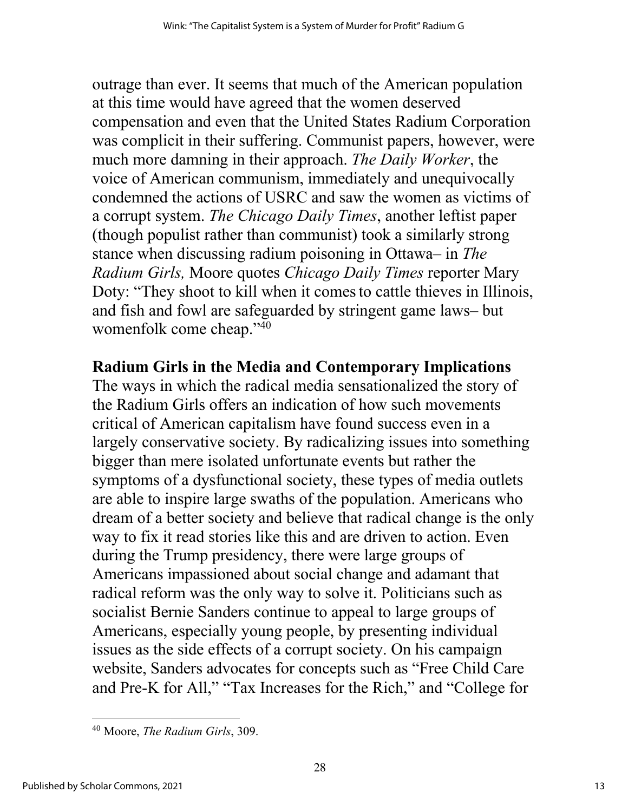outrage than ever. It seems that much of the American population at this time would have agreed that the women deserved compensation and even that the United States Radium Corporation was complicit in their suffering. Communist papers, however, were much more damning in their approach. *The Daily Worker*, the voice of American communism, immediately and unequivocally condemned the actions of USRC and saw the women as victims of a corrupt system. *The Chicago Daily Times*, another leftist paper (though populist rather than communist) took a similarly strong stance when discussing radium poisoning in Ottawa– in *The Radium Girls,* Moore quotes *Chicago Daily Times* reporter Mary Doty: "They shoot to kill when it comes to cattle thieves in Illinois, and fish and fowl are safeguarded by stringent game laws– but womenfolk come cheap."40

### **Radium Girls in the Media and Contemporary Implications**

The ways in which the radical media sensationalized the story of the Radium Girls offers an indication of how such movements critical of American capitalism have found success even in a largely conservative society. By radicalizing issues into something bigger than mere isolated unfortunate events but rather the symptoms of a dysfunctional society, these types of media outlets are able to inspire large swaths of the population. Americans who dream of a better society and believe that radical change is the only way to fix it read stories like this and are driven to action. Even during the Trump presidency, there were large groups of Americans impassioned about social change and adamant that radical reform was the only way to solve it. Politicians such as socialist Bernie Sanders continue to appeal to large groups of Americans, especially young people, by presenting individual issues as the side effects of a corrupt society. On his campaign website, Sanders advocates for concepts such as "Free Child Care and Pre-K for All," "Tax Increases for the Rich," and "College for

<sup>40</sup> Moore, *The Radium Girls*, 309.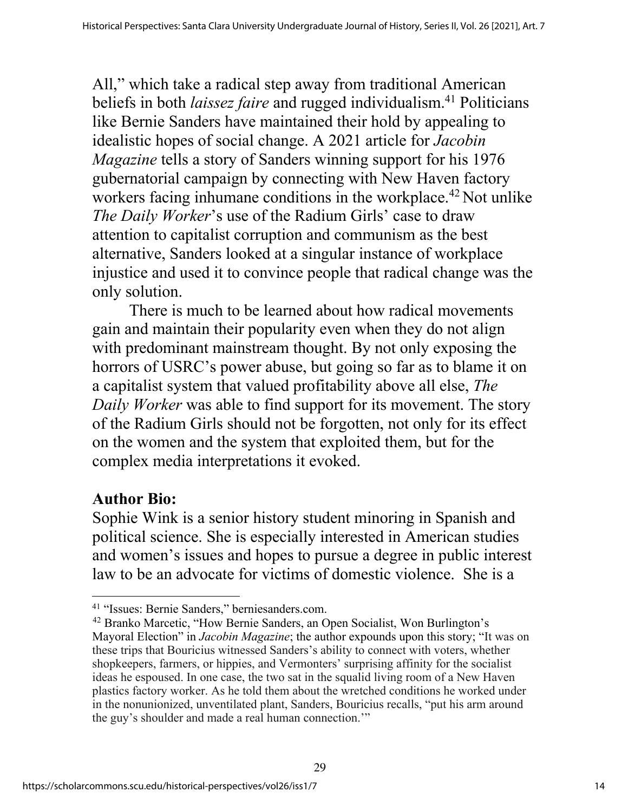All," which take a radical step away from traditional American beliefs in both *laissez faire* and rugged individualism.<sup>41</sup> Politicians like Bernie Sanders have maintained their hold by appealing to idealistic hopes of social change. A 2021 article for *Jacobin Magazine* tells a story of Sanders winning support for his 1976 gubernatorial campaign by connecting with New Haven factory workers facing inhumane conditions in the workplace.<sup>42</sup> Not unlike *The Daily Worker*'s use of the Radium Girls' case to draw attention to capitalist corruption and communism as the best alternative, Sanders looked at a singular instance of workplace injustice and used it to convince people that radical change was the only solution.

There is much to be learned about how radical movements gain and maintain their popularity even when they do not align with predominant mainstream thought. By not only exposing the horrors of USRC's power abuse, but going so far as to blame it on a capitalist system that valued profitability above all else, *The Daily Worker* was able to find support for its movement. The story of the Radium Girls should not be forgotten, not only for its effect on the women and the system that exploited them, but for the complex media interpretations it evoked.

## **Author Bio:**

Sophie Wink is a senior history student minoring in Spanish and political science. She is especially interested in American studies and women's issues and hopes to pursue a degree in public interest law to be an advocate for victims of domestic violence. She is a

<sup>41</sup> "Issues: Bernie Sanders," berniesanders.com.

<sup>42</sup> Branko Marcetic, "How Bernie Sanders, an Open Socialist, Won Burlington's Mayoral Election" in *Jacobin Magazine*; the author expounds upon this story; "It was on these trips that Bouricius witnessed Sanders's ability to connect with voters, whether shopkeepers, farmers, or hippies, and Vermonters' surprising affinity for the socialist ideas he espoused. In one case, the two sat in the squalid living room of a New Haven plastics factory worker. As he told them about the wretched conditions he worked under in the nonunionized, unventilated plant, Sanders, Bouricius recalls, "put his arm around the guy's shoulder and made a real human connection.'"